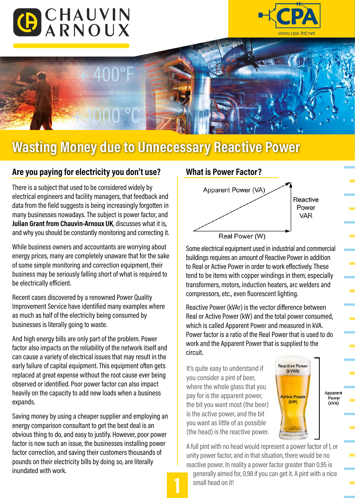





## **Wasting Money due to Unnecessary Reactive Power**

## **Are you paying for electricity you don't use?**

There is a subject that used to be considered widely by electrical engineers and facility managers, that feedback and data from the field suggests is being increasingly forgotten in many businesses nowadays. The subject is power factor, and **Julian Grant from Chauvin-Arnoux UK**, discusses what it is, and why you should be constantly monitoring and correcting it.

While business owners and accountants are worrying about energy prices, many are completely unaware that for the sake of some simple monitoring and correction equipment, their business may be seriously falling short of what is required to be electrically efficient.

Recent cases discovered by a renowned Power Quality Improvement Service have identified many examples where as much as half of the electricity being consumed by businesses is literally going to waste.

And high energy bills are only part of the problem. Power factor also impacts on the reliability of the network itself and can cause a variety of electrical issues that may result in the early failure of capital equipment. This equipment often gets replaced at great expense without the root cause ever being observed or identified. Poor power factor can also impact heavily on the capacity to add new loads when a business expands.

Saving money by using a cheaper supplier and employing an energy comparison consultant to get the best deal is an obvious thing to do, and easy to justify. However, poor power factor is now such an issue, the businesses installing power factor correction, and saving their customers thousands of pounds on their electricity bills by doing so, are literally inundated with work.

## **What is Power Factor?**



Some electrical equipment used in industrial and commercial buildings requires an amount of Reactive Power in addition to Real or Active Power in order to work effectively. These tend to be items with copper windings in them, especially transformers, motors, induction heaters, arc welders and compressors, etc., even fluorescent lighting.

Reactive Power (kVAr) is the vector difference between Real or Active Power (kW) and the total power consumed, which is called Apparent Power and measured in kVA. Power factor is a ratio of the Real Power that is used to do work and the Apparent Power that is supplied to the circuit.

It's quite easy to understand if you consider a pint of beer, where the whole glass that you pay for is the apparent power, the bit you want most (the beer) is the active power, and the bit you want as little of as possible (the head) is the reactive power.



Apparent Power (kVA)

A full pint with no head would represent a power factor of 1, or unity power factor, and in that situation, there would be no reactive power. In reality a power factor greater than 0.95 is

 generally aimed for, 0.98 if you can get it. A pint with a nice small head on it!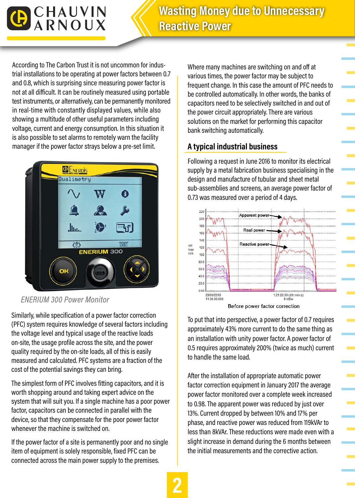

According to The Carbon Trust it is not uncommon for industrial installations to be operating at power factors between 0.7 and 0.8, which is surprising since measuring power factor is not at all difficult. It can be routinely measured using portable test instruments, or alternatively, can be permanently monitored in real-time with constantly displayed values, while also showing a multitude of other useful parameters including voltage, current and energy consumption. In this situation it is also possible to set alarms to remotely warn the facility manager if the power factor strays below a pre-set limit.



*ENERIUM 300 Power Monitor* 

Similarly, while specification of a power factor correction (PFC) system requires knowledge of several factors including the voltage level and typical usage of the reactive loads on-site, the usage profile across the site, and the power quality required by the on-site loads, all of this is easily measured and calculated. PFC systems are a fraction of the cost of the potential savings they can bring.

The simplest form of PFC involves fitting capacitors, and it is worth shopping around and taking expert advice on the system that will suit you. If a single machine has a poor power factor, capacitors can be connected in parallel with the device, so that they compensate for the poor power factor whenever the machine is switched on.

If the power factor of a site is permanently poor and no single item of equipment is solely responsible, fixed PFC can be connected across the main power supply to the premises.

Where many machines are switching on and off at various times, the power factor may be subject to frequent change. In this case the amount of PFC needs to be controlled automatically. In other words, the banks of capacitors need to be selectively switched in and out of the power circuit appropriately. There are various solutions on the market for performing this capacitor bank switching automatically.

## **A typical industrial business**

Following a request in June 2016 to monitor its electrical supply by a metal fabrication business specialising in the design and manufacture of tubular and sheet metal sub-assemblies and screens, an average power factor of 0.73 was measured over a period of 4 days.



To put that into perspective, a power factor of 0.7 requires approximately 43% more current to do the same thing as an installation with unity power factor. A power factor of 0.5 requires approximately 200% (twice as much) current

to handle the same load. After the installation of appropriate automatic power factor correction equipment in January 2017 the average power factor monitored over a complete week increased to 0.98. The apparent power was reduced by just over 13%. Current dropped by between 10% and 17% per phase, and reactive power was reduced from 119kVAr to less than 8kVAr. These reductions were made even with a slight increase in demand during the 6 months between the initial measurements and the corrective action.